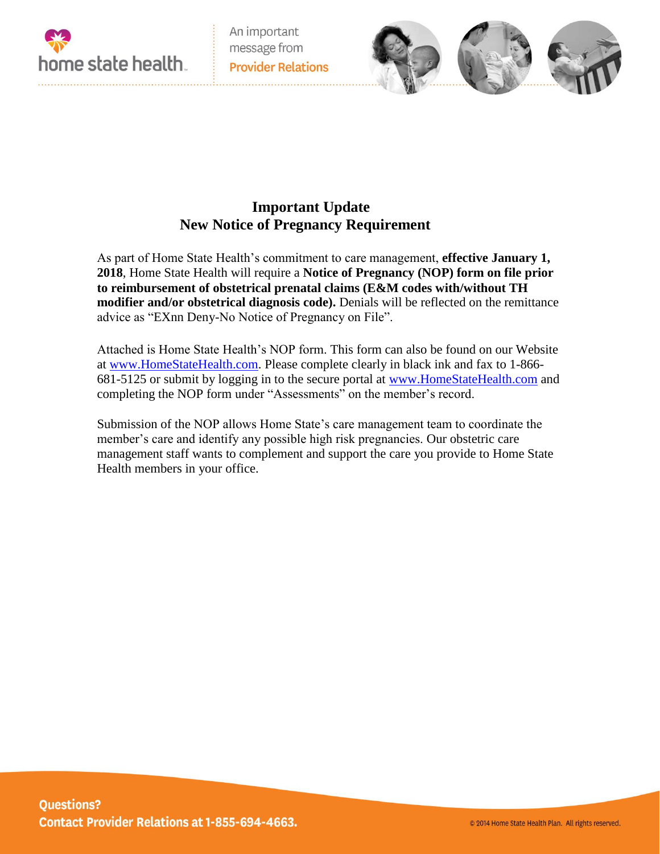

An important message from **Provider Relations** 

## **Important Update New Notice of Pregnancy Requirement**

As part of Home State Health's commitment to care management, **effective January 1, 2018**, Home State Health will require a **Notice of Pregnancy (NOP) form on file prior to reimbursement of obstetrical prenatal claims (E&M codes with/without TH modifier and/or obstetrical diagnosis code).** Denials will be reflected on the remittance advice as "EXnn Deny-No Notice of Pregnancy on File".

Attached is Home State Health's NOP form. This form can also be found on our Website at [www.HomeStateHealth.com.](http://www.homestatehealth.com/) Please complete clearly in black ink and fax to 1-866- 681-5125 or submit by logging in to the secure portal at [www.HomeStateHealth.com](http://www.homestatehealth.com/) and completing the NOP form under "Assessments" on the member's record.

Submission of the NOP allows Home State's care management team to coordinate the member's care and identify any possible high risk pregnancies. Our obstetric care management staff wants to complement and support the care you provide to Home State Health members in your office.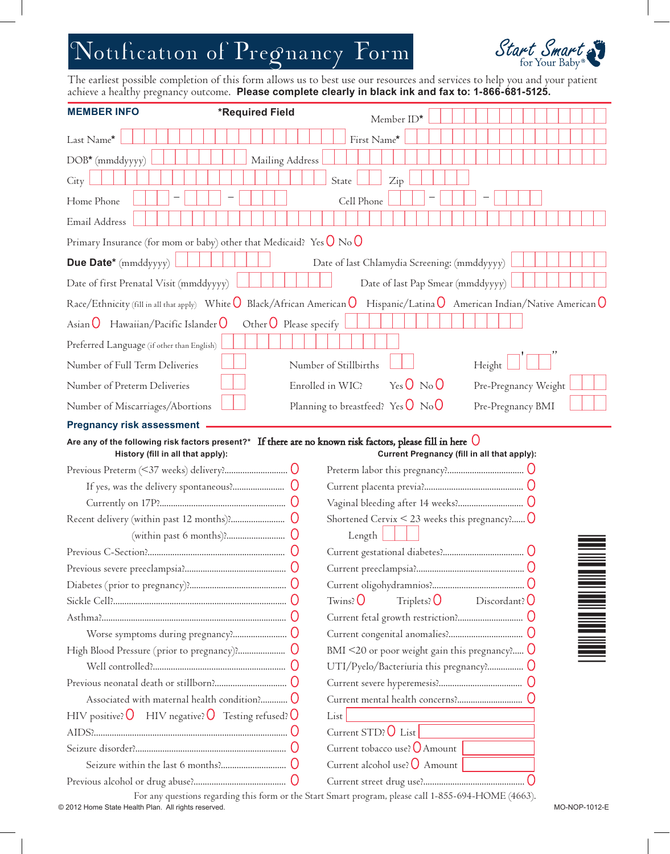## Notification of Pregnancy Form



The earliest possible completion of this form allows us to best use our resources and services to help you and your patient achieve a healthy pregnancy outcome. **Please complete clearly in black ink and fax to: 1-866-681-5125.** 

| <b>MEMBER INFO</b>                                                                                                                   | *Required Field                     |                  | Member ID*                                                   |                                             |  |
|--------------------------------------------------------------------------------------------------------------------------------------|-------------------------------------|------------------|--------------------------------------------------------------|---------------------------------------------|--|
| Last Name*                                                                                                                           |                                     |                  | First Name*                                                  |                                             |  |
| DOB* (mmddyyyy)                                                                                                                      | Mailing Address                     |                  |                                                              |                                             |  |
| City                                                                                                                                 |                                     |                  | State<br>Zip                                                 |                                             |  |
| Home Phone                                                                                                                           |                                     |                  | Cell Phone                                                   |                                             |  |
| Email Address                                                                                                                        |                                     |                  |                                                              |                                             |  |
| Primary Insurance (for mom or baby) other that Medicaid? Yes $O$ No $O$                                                              |                                     |                  |                                                              |                                             |  |
| Due Date* (mmddyyyy)                                                                                                                 |                                     |                  | Date of last Chlamydia Screening: (mmddyyyy)                 |                                             |  |
| Date of first Prenatal Visit (mmddyyyy)                                                                                              |                                     |                  | Date of last Pap Smear (mmddyyyy)                            |                                             |  |
| Race/Ethnicity (fill in all that apply) White $O$ Black/African American $O$ Hispanic/Latina $O$ American Indian/Native American $O$ |                                     |                  |                                                              |                                             |  |
| Hawaiian/Pacific Islander $\bigcirc$<br>Asian <b>U</b>                                                                               | Other $\overline{O}$ Please specify |                  |                                                              |                                             |  |
| Preferred Language (if other than English)                                                                                           |                                     |                  |                                                              |                                             |  |
| Number of Full Term Deliveries                                                                                                       |                                     |                  | Number of Stillbirths                                        | Height                                      |  |
| Number of Preterm Deliveries                                                                                                         |                                     | Enrolled in WIC? | YesO NoO                                                     | Pre-Pregnancy Weight                        |  |
| Number of Miscarriages/Abortions                                                                                                     |                                     |                  | Planning to breastfeed? Yes $\overline{O}$ No $\overline{O}$ | Pre-Pregnancy BMI                           |  |
| <b>Pregnancy risk assessment</b>                                                                                                     |                                     |                  |                                                              |                                             |  |
| Are any of the following risk factors present?* If there are no known risk factors, please fill in here $\bigcirc$                   |                                     |                  |                                                              |                                             |  |
| History (fill in all that apply):                                                                                                    |                                     |                  |                                                              | Current Pregnancy (fill in all that apply): |  |
|                                                                                                                                      |                                     |                  |                                                              |                                             |  |
|                                                                                                                                      |                                     |                  |                                                              |                                             |  |
|                                                                                                                                      |                                     |                  | Shortened Cervix $\leq$ 23 weeks this pregnancy? $\bigcup$   |                                             |  |
|                                                                                                                                      |                                     |                  | Length                                                       |                                             |  |
|                                                                                                                                      |                                     |                  |                                                              |                                             |  |
|                                                                                                                                      |                                     |                  |                                                              |                                             |  |
|                                                                                                                                      |                                     |                  |                                                              |                                             |  |
|                                                                                                                                      |                                     |                  | Triplets? $\overline{O}$<br>$Twins$ ?                        | Discordant? $\bigcirc$                      |  |
|                                                                                                                                      |                                     |                  |                                                              |                                             |  |
|                                                                                                                                      |                                     |                  |                                                              |                                             |  |
|                                                                                                                                      |                                     |                  | BMI <20 or poor weight gain this pregnancy? $\bigcup$        |                                             |  |
|                                                                                                                                      |                                     |                  |                                                              |                                             |  |
|                                                                                                                                      |                                     |                  |                                                              |                                             |  |
|                                                                                                                                      |                                     |                  |                                                              |                                             |  |
| HIV positive? $\overline{O}$ HIV negative? $\overline{O}$ Testing refused? $\overline{O}$                                            |                                     |                  | List                                                         |                                             |  |
|                                                                                                                                      |                                     |                  | Current STD? $\bigcirc$ List                                 |                                             |  |
|                                                                                                                                      |                                     |                  | Current tobacco use? $O$ Amount                              |                                             |  |
|                                                                                                                                      |                                     |                  | Current alcohol use? O Amount                                |                                             |  |
|                                                                                                                                      |                                     |                  |                                                              |                                             |  |